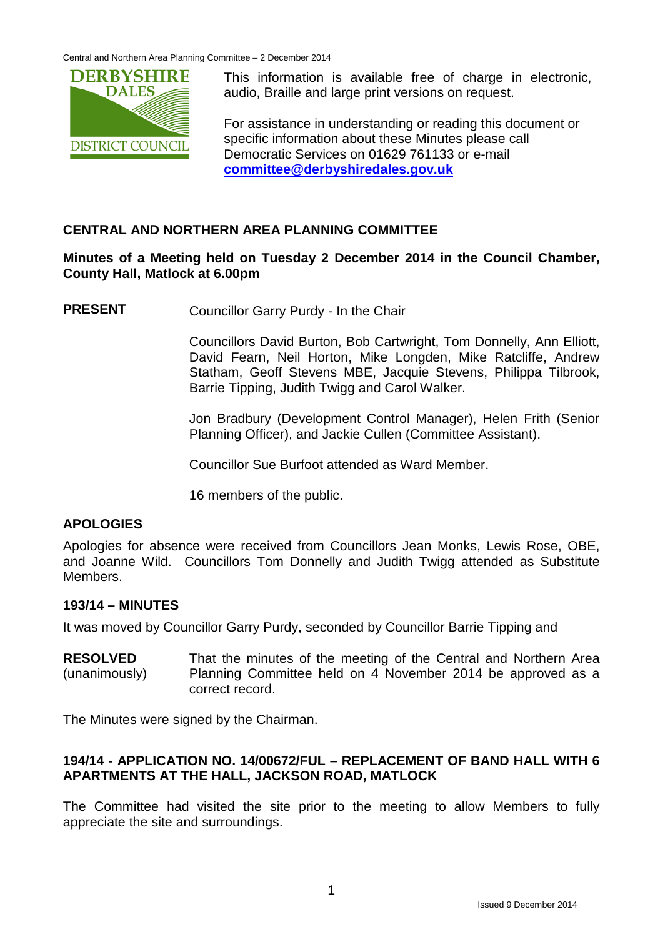Central and Northern Area Planning Committee – 2 December 2014



This information is available free of charge in electronic, audio, Braille and large print versions on request.

For assistance in understanding or reading this document or specific information about these Minutes please call Democratic Services on 01629 761133 or e-mail **[committee@derbyshiredales.gov.uk](mailto:committee@derbyshiredales.gov.uk)**

## **CENTRAL AND NORTHERN AREA PLANNING COMMITTEE**

#### **Minutes of a Meeting held on Tuesday 2 December 2014 in the Council Chamber, County Hall, Matlock at 6.00pm**

**PRESENT** Councillor Garry Purdy - In the Chair

Councillors David Burton, Bob Cartwright, Tom Donnelly, Ann Elliott, David Fearn, Neil Horton, Mike Longden, Mike Ratcliffe, Andrew Statham, Geoff Stevens MBE, Jacquie Stevens, Philippa Tilbrook, Barrie Tipping, Judith Twigg and Carol Walker.

Jon Bradbury (Development Control Manager), Helen Frith (Senior Planning Officer), and Jackie Cullen (Committee Assistant).

Councillor Sue Burfoot attended as Ward Member.

16 members of the public.

# **APOLOGIES**

Apologies for absence were received from Councillors Jean Monks, Lewis Rose, OBE, and Joanne Wild. Councillors Tom Donnelly and Judith Twigg attended as Substitute Members.

#### **193/14 – MINUTES**

It was moved by Councillor Garry Purdy, seconded by Councillor Barrie Tipping and

**RESOLVED** (unanimously) That the minutes of the meeting of the Central and Northern Area Planning Committee held on 4 November 2014 be approved as a correct record.

The Minutes were signed by the Chairman.

### **194/14 - APPLICATION NO. 14/00672/FUL – REPLACEMENT OF BAND HALL WITH 6 APARTMENTS AT THE HALL, JACKSON ROAD, MATLOCK**

The Committee had visited the site prior to the meeting to allow Members to fully appreciate the site and surroundings.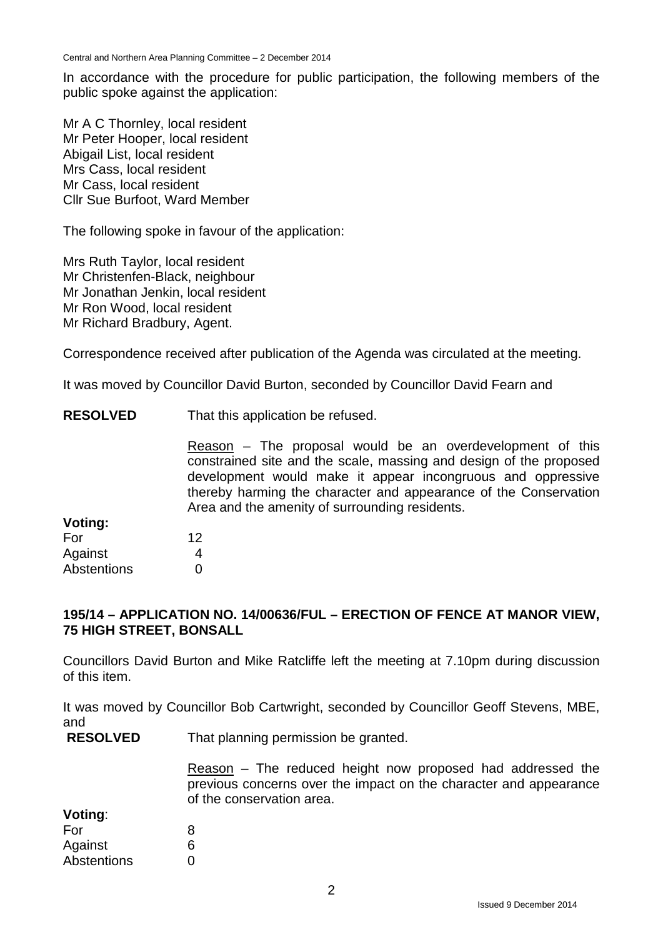Central and Northern Area Planning Committee – 2 December 2014

In accordance with the procedure for public participation, the following members of the public spoke against the application:

Mr A C Thornley, local resident Mr Peter Hooper, local resident Abigail List, local resident Mrs Cass, local resident Mr Cass, local resident Cllr Sue Burfoot, Ward Member

The following spoke in favour of the application:

Mrs Ruth Taylor, local resident Mr Christenfen-Black, neighbour Mr Jonathan Jenkin, local resident Mr Ron Wood, local resident Mr Richard Bradbury, Agent.

Correspondence received after publication of the Agenda was circulated at the meeting.

It was moved by Councillor David Burton, seconded by Councillor David Fearn and

**RESOLVED** That this application be refused.

> Reason – The proposal would be an overdevelopment of this constrained site and the scale, massing and design of the proposed development would make it appear incongruous and oppressive thereby harming the character and appearance of the Conservation Area and the amenity of surrounding residents.

| Voting:            |    |
|--------------------|----|
| For                | 12 |
| Against            | 4  |
| <b>Abstentions</b> | O  |

#### **195/14 – APPLICATION NO. 14/00636/FUL – ERECTION OF FENCE AT MANOR VIEW, 75 HIGH STREET, BONSALL**

Councillors David Burton and Mike Ratcliffe left the meeting at 7.10pm during discussion of this item.

It was moved by Councillor Bob Cartwright, seconded by Councillor Geoff Stevens, MBE, and

**RESOLVED** That planning permission be granted.

> Reason – The reduced height now proposed had addressed the previous concerns over the impact on the character and appearance of the conservation area.

| 8 |
|---|
| 6 |
| O |
|   |

**Voting**: